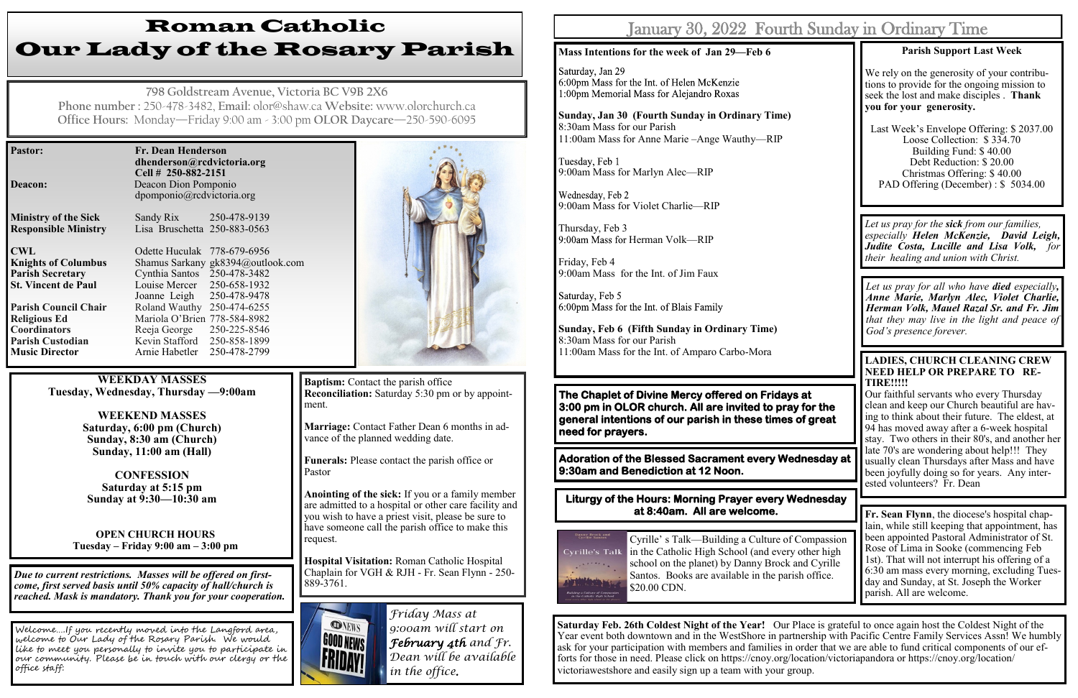| <b>Pastor:</b>              | Fr. Dean Henderson<br>dhenderson@rcdvictoria.org<br>Cell # 250-882-2151 |                                   |  |  |
|-----------------------------|-------------------------------------------------------------------------|-----------------------------------|--|--|
| Deacon:                     | Deacon Dion Pomponio<br>dpomponio@rcdvictoria.org                       |                                   |  |  |
| <b>Ministry of the Sick</b> | Sandy Rix 250-478-9139                                                  |                                   |  |  |
| <b>Responsible Ministry</b> | Lisa Bruschetta 250-883-0563                                            |                                   |  |  |
| <b>CWL</b>                  | Odette Huculak 778-679-6956                                             |                                   |  |  |
| <b>Knights of Columbus</b>  |                                                                         | Shamus Sarkany gk8394@outlook.com |  |  |
| <b>Parish Secretary</b>     | Cynthia Santos 250-478-3482                                             |                                   |  |  |
| <b>St. Vincent de Paul</b>  | Louise Mercer 250-658-1932                                              |                                   |  |  |
|                             | Joanne Leigh 250-478-9478                                               |                                   |  |  |
| <b>Parish Council Chair</b> | Roland Wauthy 250-474-6255                                              |                                   |  |  |
| <b>Religious Ed</b>         | Mariola O'Brien 778-584-8982                                            |                                   |  |  |
| <b>Coordinators</b>         | Reeja George 250-225-8546                                               |                                   |  |  |
| <b>Parish Custodian</b>     | Kevin Stafford 250-858-1899                                             |                                   |  |  |
| <b>Music Director</b>       | Arnie Habetler                                                          | 250-478-2799                      |  |  |

**Baptism:** Contact the parish office **Reconciliation:** Saturday 5:30 pm or by appointment.

# Roman Catholic Our Lady of the Rosary Parish

**798 Goldstream Avenue, Victoria BC V9B 2X6 Phone number :** 250-478-3482, **Email:** olor@shaw.ca **Website:** www.olorchurch.ca **Office Hours:** Monday—Friday 9:00 am - 3:00 pm **OLOR Daycare**—250-590-6095

**WEEKDAY MASSES Tuesday, Wednesday, Thursday —9:00am**

> **WEEKEND MASSES Saturday, 6:00 pm (Church) Sunday, 8:30 am (Church) Sunday, 11:00 am (Hall)**

**CONFESSION Saturday at 5:15 pm Sunday at 9:30—10:30 am**

**OPEN CHURCH HOURS Tuesday – Friday 9:00 am – 3:00 pm** Tuesday, Feb 1 9:00am Mass for Marlyn Alec—RIP

Wednesday, Feb 2 9:00am Mass for Violet Charlie—RIP

Thursday, Feb 3 9:00am Mass for Herman Volk—RIP

**Marriage:** Contact Father Dean 6 months in advance of the planned wedding date.

**Funerals:** Please contact the parish office or Pastor

**Anointing of the sick:** If you or a family member are admitted to a hospital or other care facility and you wish to have a priest visit, please be sure to have someone call the parish office to make this request.

**Hospital Visitation:** Roman Catholic Hospital Chaplain for VGH & RJH - Fr. Sean Flynn - 250- 889-3761.



*Due to current restrictions. Masses will be offered on firstcome, first served basis until 50% capacity of hall/church is reached. Mask is mandatory. Thank you for your cooperation.*

Welcome….If you recently moved into the Langford area, welcome to Our Lady of the Rosary Parish. We would like to meet you personally to invite you to participate in our community. Please be in touch with our clergy or the office staff:



### **Liturgy of the Hours: Morning Prayer every Wednesday at 8:40am. All are welcome. Fr. Sean Flynn**, the diocese's hospital chap-



*Friday Mass at 9:00am will start on February 4th and Fr. Dean will be available in the office.* 

## January  $30, \, 2022\,$  Fourt

#### **Mass Intentions for the week of Jan 29—Feb 6**

Saturday, Jan 29 6:00pm Mass for the Int. of Helen McKenzie 1:00pm Memorial Mass for Alejandro Roxas

**Sunday, Jan 30 (Fourth Sunday in Ordinary Time)** 8:30am Mass for our Parish 11:00am Mass for Anne Marie –Ange Wauthy—RIP

Friday, Feb 4 9:00am Mass for the Int. of Jim Faux

6:00pm Mass for the Int. of Blais Family

**Sunday, Feb 6 (Fifth Sunday in Ordinary Time)** 8:30am Mass for our Parish 11:00am Mass for the Int. of Amparo Carbo-Mora

# **TIRE!!!!!**

Our faithful servants who every Thursday clean and keep our Church beautiful are having to think about their future. The eldest, at 94 has moved away after a 6-week hospital stay. Two others in their 80's, and another her late 70's are wondering about help!!! They usually clean Thursdays after Mass and have been joyfully doing so for years. Any interested volunteers? Fr. Dean



**The Chaplet of Divine Mercy offered on Fridays at 3:00 pm in OLOR church. All are invited to pray for the general intentions of our parish in these times of great need for prayers.** 

**Adoration of the Blessed Sacrament every Wednesday at 9:30am and Benediction at 12 Noon.** 

> lain, while still keeping that appointment, has been appointed Pastoral Administrator of St. Rose of Lima in Sooke (commencing Feb 1st). That will not interrupt his offering of a 6:30 am mass every morning, excluding Tuesday and Sunday, at St. Joseph the Worker parish. All are welcome.

Cyrille' s Talk—Building a Culture of Compassion in the Catholic High School (and every other high school on the planet) by Danny Brock and Cyrille Santos. Books are available in the parish office. \$20.00 CDN.

**Saturday Feb. 26th Coldest Night of the Year!** Our Place is grateful to once again host the Coldest Night of the Year event both downtown and in the WestShore in partnership with Pacific Centre Family Services Assn! We humbly ask for your participation with members and families in order that we are able to fund critical components of our efforts for those in need. Please click on https://cnoy.org/location/victoriapandora or https://cnoy.org/location/ victoriawestshore and easily sign up a team with your group.

|  | h Sunday in Ordinary Time |  |
|--|---------------------------|--|
|  |                           |  |